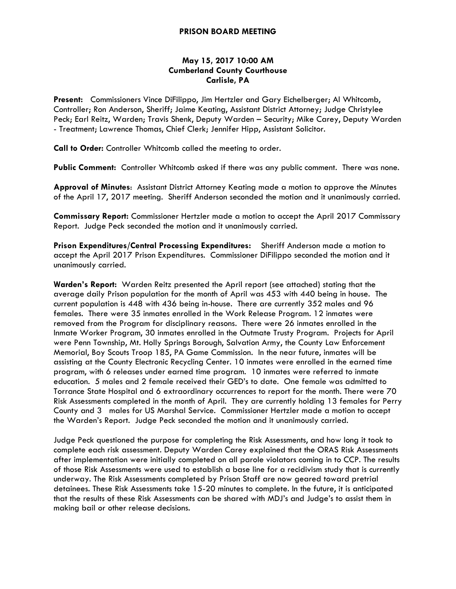#### **PRISON BOARD MEETING**

## **May 15, 2017 10:00 AM Cumberland County Courthouse Carlisle, PA**

**Present:** Commissioners Vince DiFilippo, Jim Hertzler and Gary Eichelberger; Al Whitcomb, Controller; Ron Anderson, Sheriff; Jaime Keating, Assistant District Attorney; Judge Christylee Peck; Earl Reitz, Warden; Travis Shenk, Deputy Warden – Security; Mike Carey, Deputy Warden - Treatment; Lawrence Thomas, Chief Clerk; Jennifer Hipp, Assistant Solicitor.

**Call to Order:** Controller Whitcomb called the meeting to order.

**Public Comment:** Controller Whitcomb asked if there was any public comment. There was none.

**Approval of Minutes**: Assistant District Attorney Keating made a motion to approve the Minutes of the April 17, 2017 meeting. Sheriff Anderson seconded the motion and it unanimously carried.

**Commissary Report:** Commissioner Hertzler made a motion to accept the April 2017 Commissary Report. Judge Peck seconded the motion and it unanimously carried.

**Prison Expenditures/Central Processing Expenditures:** Sheriff Anderson made a motion to accept the April 2017 Prison Expenditures. Commissioner DiFilippo seconded the motion and it unanimously carried.

**Warden's Report:** Warden Reitz presented the April report (see attached) stating that the average daily Prison population for the month of April was 453 with 440 being in house. The current population is 448 with 436 being in-house. There are currently 352 males and 96 females. There were 35 inmates enrolled in the Work Release Program. 12 inmates were removed from the Program for disciplinary reasons. There were 26 inmates enrolled in the Inmate Worker Program, 30 inmates enrolled in the Outmate Trusty Program. Projects for April were Penn Township, Mt. Holly Springs Borough, Salvation Army, the County Law Enforcement Memorial, Boy Scouts Troop 185, PA Game Commission. In the near future, inmates will be assisting at the County Electronic Recycling Center. 10 inmates were enrolled in the earned time program, with 6 releases under earned time program. 10 inmates were referred to inmate education. 5 males and 2 female received their GED's to date. One female was admitted to Torrance State Hospital and 6 extraordinary occurrences to report for the month. There were 70 Risk Assessments completed in the month of April. They are currently holding 13 females for Perry County and 3 males for US Marshal Service. Commissioner Hertzler made a motion to accept the Warden's Report. Judge Peck seconded the motion and it unanimously carried.

Judge Peck questioned the purpose for completing the Risk Assessments, and how long it took to complete each risk assessment. Deputy Warden Carey explained that the ORAS Risk Assessments after implementation were initially completed on all parole violators coming in to CCP. The results of those Risk Assessments were used to establish a base line for a recidivism study that is currently underway. The Risk Assessments completed by Prison Staff are now geared toward pretrial detainees. These Risk Assessments take 15-20 minutes to complete. In the future, it is anticipated that the results of these Risk Assessments can be shared with MDJ's and Judge's to assist them in making bail or other release decisions.